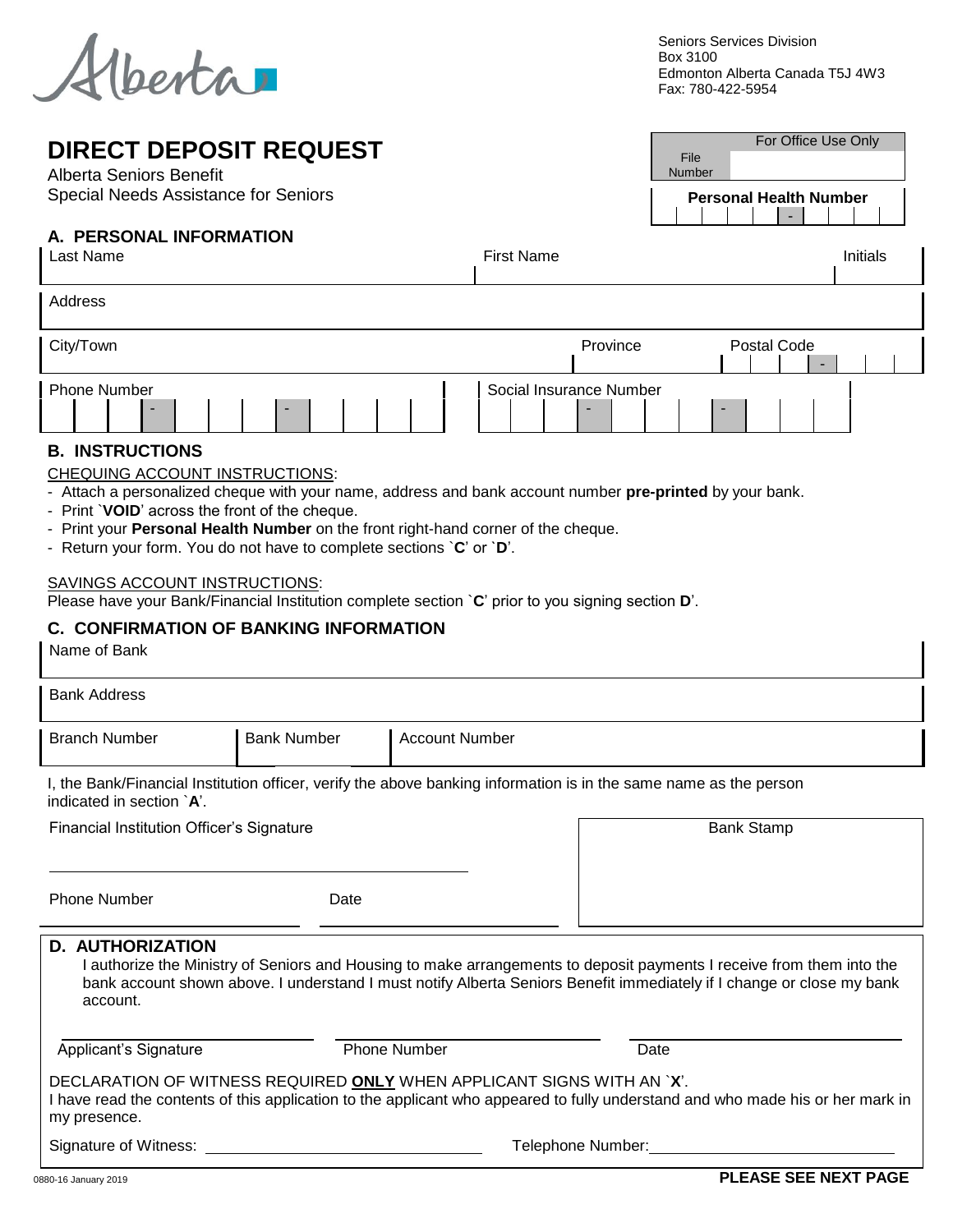*<u>Merta</u>* 

Seniors Services Division Box 3100 Edmonton Alberta Canada T5J 4W3 Fax: 780-422-5954

> **Personal Health Number** -

File Number For Office Use Only

## **DIRECT DEPOSIT REQUEST**

Alberta Seniors Benefit Special Needs Assistance for Seniors

## **A. PERSONAL INFORMATION**

| יוטוואוט וויו באזוטטאב ו<br>Last Name                                                                                                                                                                                                                                                                                                                                                                                                                                                                                                                                                |                       | <b>First Name</b>       |                   |             | Initials |  |  |
|--------------------------------------------------------------------------------------------------------------------------------------------------------------------------------------------------------------------------------------------------------------------------------------------------------------------------------------------------------------------------------------------------------------------------------------------------------------------------------------------------------------------------------------------------------------------------------------|-----------------------|-------------------------|-------------------|-------------|----------|--|--|
| Address                                                                                                                                                                                                                                                                                                                                                                                                                                                                                                                                                                              |                       |                         |                   |             |          |  |  |
| City/Town                                                                                                                                                                                                                                                                                                                                                                                                                                                                                                                                                                            |                       | Province                |                   | Postal Code |          |  |  |
| <b>Phone Number</b>                                                                                                                                                                                                                                                                                                                                                                                                                                                                                                                                                                  |                       | Social Insurance Number |                   |             |          |  |  |
| <b>B. INSTRUCTIONS</b><br>CHEQUING ACCOUNT INSTRUCTIONS:<br>- Attach a personalized cheque with your name, address and bank account number pre-printed by your bank.<br>- Print `VOID' across the front of the cheque.<br>- Print your Personal Health Number on the front right-hand corner of the cheque.<br>- Return your form. You do not have to complete sections $C'$ or $D'$ .<br><b>SAVINGS ACCOUNT INSTRUCTIONS:</b><br>Please have your Bank/Financial Institution complete section `C' prior to you signing section D'.<br><b>C. CONFIRMATION OF BANKING INFORMATION</b> |                       |                         |                   |             |          |  |  |
| Name of Bank                                                                                                                                                                                                                                                                                                                                                                                                                                                                                                                                                                         |                       |                         |                   |             |          |  |  |
| <b>Bank Address</b>                                                                                                                                                                                                                                                                                                                                                                                                                                                                                                                                                                  |                       |                         |                   |             |          |  |  |
| <b>Branch Number</b><br><b>Bank Number</b>                                                                                                                                                                                                                                                                                                                                                                                                                                                                                                                                           | <b>Account Number</b> |                         |                   |             |          |  |  |
| I, the Bank/Financial Institution officer, verify the above banking information is in the same name as the person<br>indicated in section $A'$ .                                                                                                                                                                                                                                                                                                                                                                                                                                     |                       |                         |                   |             |          |  |  |
| <b>Financial Institution Officer's Signature</b>                                                                                                                                                                                                                                                                                                                                                                                                                                                                                                                                     |                       |                         | <b>Bank Stamp</b> |             |          |  |  |

Phone Number Date

| <b>D. AUTHORIZATION</b><br>account. |                                                                        | I authorize the Ministry of Seniors and Housing to make arrangements to deposit payments I receive from them into the<br>bank account shown above. I understand I must notify Alberta Seniors Benefit immediately if I change or close my bank |  |
|-------------------------------------|------------------------------------------------------------------------|------------------------------------------------------------------------------------------------------------------------------------------------------------------------------------------------------------------------------------------------|--|
| Applicant's Signature               | <b>Phone Number</b>                                                    | Date                                                                                                                                                                                                                                           |  |
| my presence.                        | DECLARATION OF WITNESS REQUIRED ONLY WHEN APPLICANT SIGNS WITH AN `X'. | I have read the contents of this application to the applicant who appeared to fully understand and who made his or her mark in                                                                                                                 |  |
| Signature of Witness:               |                                                                        | Telephone Number:                                                                                                                                                                                                                              |  |